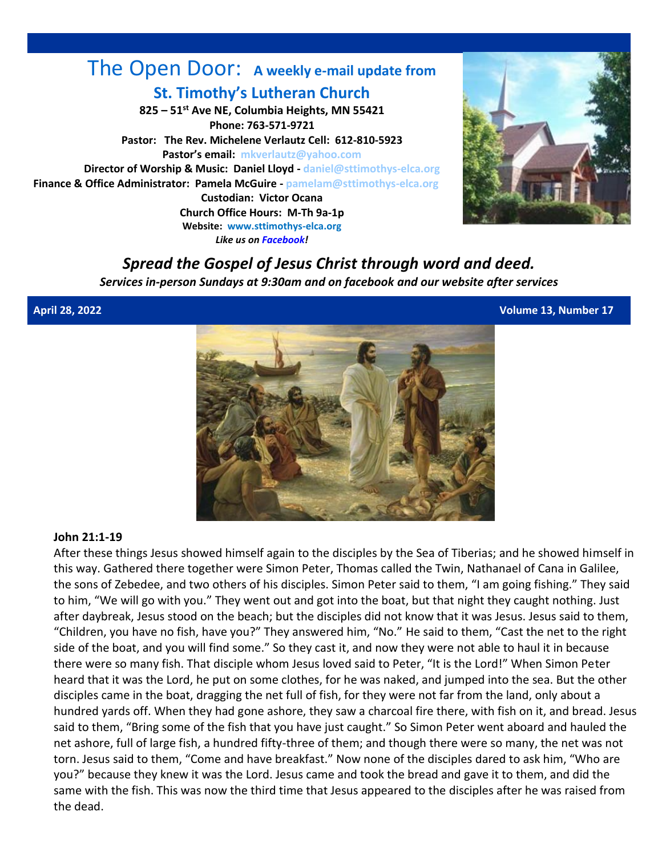#### The Open Door: **A weekly e-mail update from St. Timothy's Lutheran Church 825 – 51st Ave NE, Columbia Heights, MN 55421 Phone: 763-571-9721 Pastor: The Rev. Michelene Verlautz Cell: 612-810-5923 Pastor's email: [mkverlautz@yahoo.com](mailto:mkverlautz@yahoo.com) Director of Worship & Music: Daniel Lloyd - [daniel@sttimothys-elca.org](mailto:daniel@sttimothys-elca.org) Finance & Office Administrator: Pamela McGuire - [pamelam@sttimothys-elca.org](mailto:pamelam@sttimothys-elca.org) Custodian: Victor Ocana Church Office Hours: M-Th 9a-1p Website: [www.sttimothys-elca.org](http://www.sttimothys-elca.org/)**

*Like us o[n Facebook!](http://www.facebook.com/pages/St-Timothys-Lutheran-Church-Columbia-Heights-MN/376491632385331?ref=hl)*



# *Spread the Gospel of Jesus Christ through word and deed.*

*Services in-person Sundays at 9:30am and on facebook and our website after services*

**April 28, 2022 Volume 13, Number 17**



#### **John 21:1-19**

After these things Jesus showed himself again to the disciples by the Sea of Tiberias; and he showed himself in this way. Gathered there together were Simon Peter, Thomas called the Twin, Nathanael of Cana in Galilee, the sons of Zebedee, and two others of his disciples. Simon Peter said to them, "I am going fishing." They said to him, "We will go with you." They went out and got into the boat, but that night they caught nothing. Just after daybreak, Jesus stood on the beach; but the disciples did not know that it was Jesus. Jesus said to them, "Children, you have no fish, have you?" They answered him, "No." He said to them, "Cast the net to the right side of the boat, and you will find some." So they cast it, and now they were not able to haul it in because there were so many fish. That disciple whom Jesus loved said to Peter, "It is the Lord!" When Simon Peter heard that it was the Lord, he put on some clothes, for he was naked, and jumped into the sea. But the other disciples came in the boat, dragging the net full of fish, for they were not far from the land, only about a hundred yards off. When they had gone ashore, they saw a charcoal fire there, with fish on it, and bread. Jesus said to them, "Bring some of the fish that you have just caught." So Simon Peter went aboard and hauled the net ashore, full of large fish, a hundred fifty-three of them; and though there were so many, the net was not torn. Jesus said to them, "Come and have breakfast." Now none of the disciples dared to ask him, "Who are you?" because they knew it was the Lord. Jesus came and took the bread and gave it to them, and did the same with the fish. This was now the third time that Jesus appeared to the disciples after he was raised from the dead.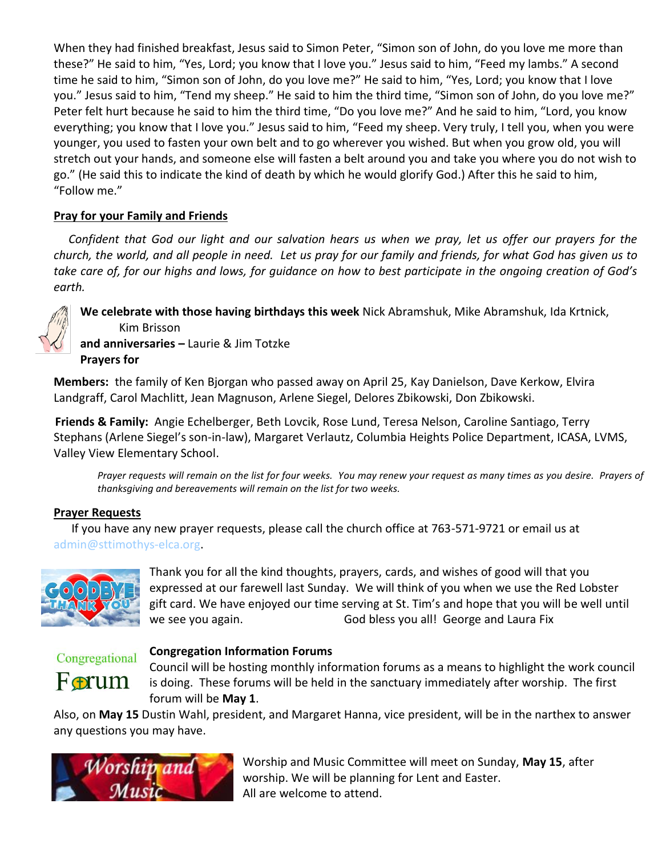When they had finished breakfast, Jesus said to Simon Peter, "Simon son of John, do you love me more than these?" He said to him, "Yes, Lord; you know that I love you." Jesus said to him, "Feed my lambs." A second time he said to him, "Simon son of John, do you love me?" He said to him, "Yes, Lord; you know that I love you." Jesus said to him, "Tend my sheep." He said to him the third time, "Simon son of John, do you love me?" Peter felt hurt because he said to him the third time, "Do you love me?" And he said to him, "Lord, you know everything; you know that I love you." Jesus said to him, "Feed my sheep. Very truly, I tell you, when you were younger, you used to fasten your own belt and to go wherever you wished. But when you grow old, you will stretch out your hands, and someone else will fasten a belt around you and take you where you do not wish to go." (He said this to indicate the kind of death by which he would glorify God.) After this he said to him, "Follow me."

#### **Pray for your Family and Friends**

 *Confident that God our light and our salvation hears us when we pray, let us offer our prayers for the church, the world, and all people in need. Let us pray for our family and friends, for what God has given us to take care of, for our highs and lows, for guidance on how to best participate in the ongoing creation of God's earth.*

**We celebrate with those having birthdays this week** Nick Abramshuk, Mike Abramshuk, Ida Krtnick, Kim Brisson

**and anniversaries –** Laurie & Jim Totzke **Prayers for** 

**Members:** the family of Ken Bjorgan who passed away on April 25, Kay Danielson, Dave Kerkow, Elvira Landgraff, Carol Machlitt, Jean Magnuson, Arlene Siegel, Delores Zbikowski, Don Zbikowski.

**Friends & Family:** Angie Echelberger, Beth Lovcik, Rose Lund, Teresa Nelson, Caroline Santiago, Terry Stephans (Arlene Siegel's son-in-law), Margaret Verlautz, Columbia Heights Police Department, ICASA, LVMS, Valley View Elementary School.

*Prayer requests will remain on the list for four weeks. You may renew your request as many times as you desire. Prayers of thanksgiving and bereavements will remain on the list for two weeks.*

#### **Prayer Requests**

 If you have any new prayer requests, please call the church office at 763-571-9721 or email us at [admin@sttimothys-elca.org.](mailto:admin@sttimothys-elca.org)



Thank you for all the kind thoughts, prayers, cards, and wishes of good will that you expressed at our farewell last Sunday. We will think of you when we use the Red Lobster gift card. We have enjoyed our time serving at St. Tim's and hope that you will be well until we see you again. God bless you all! George and Laura Fix

## Congregational



#### **Congregation Information Forums**

Council will be hosting monthly information forums as a means to highlight the work council is doing. These forums will be held in the sanctuary immediately after worship. The first forum will be **May 1**.

Also, on **May 15** Dustin Wahl, president, and Margaret Hanna, vice president, will be in the narthex to answer any questions you may have.



Worship and Music Committee will meet on Sunday, **May 15**, after worship. We will be planning for Lent and Easter. All are welcome to attend.